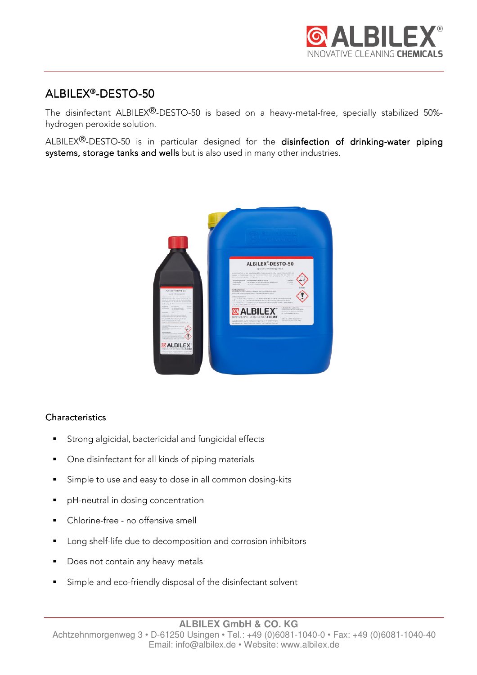

# ALBILEX®-DESTO-50

The disinfectant ALBILEX<sup>®</sup>-DESTO-50 is based on a heavy-metal-free, specially stabilized 50%hydrogen peroxide solution.

ALBILEX<sup>®</sup>-DESTO-50 is in particular designed for the disinfection of drinking-water piping systems, storage tanks and wells but is also used in many other industries.



### **Characteristics**

- Strong algicidal, bactericidal and fungicidal effects
- One disinfectant for all kinds of piping materials
- Simple to use and easy to dose in all common dosing-kits
- **P** pH-neutral in dosing concentration
- Chlorine-free no offensive smell
- **Long shelf-life due to decomposition and corrosion inhibitors**
- Does not contain any heavy metals
- Simple and eco-friendly disposal of the disinfectant solvent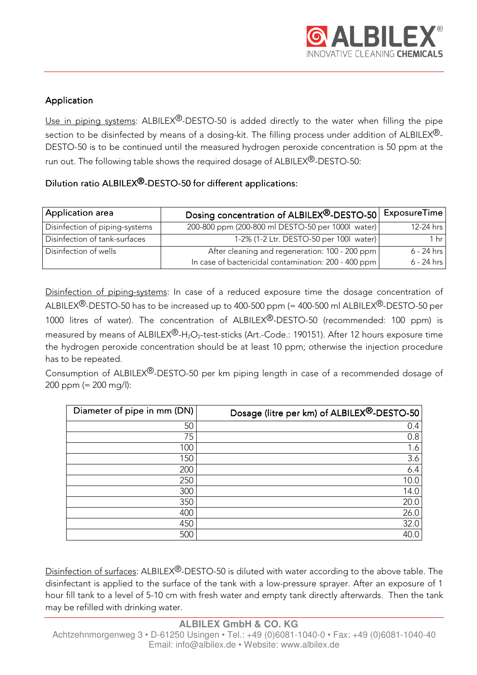## Application

Use in piping systems: ALBILEX<sup>®</sup>-DESTO-50 is added directly to the water when filling the pipe section to be disinfected by means of a dosing-kit. The filling process under addition of ALBILEX $\mathbb{B}$ -DESTO-50 is to be continued until the measured hydrogen peroxide concentration is 50 ppm at the run out. The following table shows the required dosage of ALBILEX<sup>®</sup>-DESTO-50:

## Dilution ratio ALBILEX<sup>®</sup>-DESTO-50 for different applications:

| Application area               | Dosing concentration of ALBILEX <sup>®</sup> -DESTO-50 | ExposureTime    |
|--------------------------------|--------------------------------------------------------|-----------------|
| Disinfection of piping-systems | 200-800 ppm (200-800 ml DESTO-50 per 1000l water)      | 12-24 hrs       |
| Disinfection of tank-surfaces  | 1-2% (1-2 Ltr. DESTO-50 per 100l water)                | 1 <sub>hr</sub> |
| Disinfection of wells          | After cleaning and regeneration: 100 - 200 ppm         | $6 - 24$ hrs    |
|                                | In case of bactericidal contamination: 200 - 400 ppm   | $6 - 24$ hrs    |

Disinfection of piping-systems: In case of a reduced exposure time the dosage concentration of ALBILEX<sup>®</sup>-DESTO-50 has to be increased up to 400-500 ppm (= 400-500 ml ALBILEX<sup>®</sup>-DESTO-50 per 1000 litres of water). The concentration of ALBILEX<sup>®</sup>-DESTO-50 (recommended: 100 ppm) is measured by means of ALBILEX<sup>®</sup>-H<sub>2</sub>O<sub>2</sub>-test-sticks (Art.-Code.: 190151). After 12 hours exposure time the hydrogen peroxide concentration should be at least 10 ppm; otherwise the injection procedure has to be repeated.

Consumption of ALBILEX®-DESTO-50 per km piping length in case of a recommended dosage of 200 ppm (= 200 mg/l):

| Diameter of pipe in mm (DN) | Dosage (litre per km) of ALBILEX®-DESTO-50 |
|-----------------------------|--------------------------------------------|
| 50                          | 0.4                                        |
| 75                          | 0.8                                        |
| 100                         | 1.6                                        |
| 150                         | 3.6                                        |
| 200                         | 6.4                                        |
| 250                         | 10.0                                       |
| 300                         | 14.0                                       |
| 350                         | 20.0                                       |
| 400                         | 26.0                                       |
| 450                         | 32.0                                       |
| 500                         | 40.0                                       |

Disinfection of surfaces: ALBILEX®-DESTO-50 is diluted with water according to the above table. The disinfectant is applied to the surface of the tank with a low-pressure sprayer. After an exposure of 1 hour fill tank to a level of 5-10 cm with fresh water and empty tank directly afterwards. Then the tank may be refilled with drinking water.